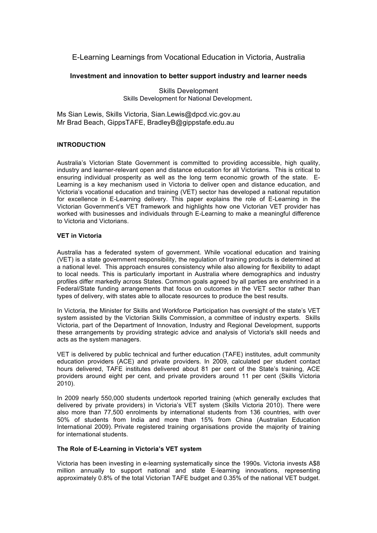# E-Learning Learnings from Vocational Education in Victoria, Australia

# **Investment and innovation to better support industry and learner needs**

Skills Development Skills Development for National Development**.**

Ms Sian Lewis, Skills Victoria, Sian.Lewis@dpcd.vic.gov.au Mr Brad Beach, GippsTAFE, BradleyB@gippstafe.edu.au

## **INTRODUCTION**

Australia's Victorian State Government is committed to providing accessible, high quality, industry and learner-relevant open and distance education for all Victorians. This is critical to ensuring individual prosperity as well as the long term economic growth of the state. E-Learning is a key mechanism used in Victoria to deliver open and distance education, and Victoria's vocational education and training (VET) sector has developed a national reputation for excellence in E-Learning delivery. This paper explains the role of E-Learning in the Victorian Government's VET framework and highlights how one Victorian VET provider has worked with businesses and individuals through E-Learning to make a meaningful difference to Victoria and Victorians.

## **VET in Victoria**

Australia has a federated system of government. While vocational education and training (VET) is a state government responsibility, the regulation of training products is determined at a national level. This approach ensures consistency while also allowing for flexibility to adapt to local needs. This is particularly important in Australia where demographics and industry profiles differ markedly across States. Common goals agreed by all parties are enshrined in a Federal/State funding arrangements that focus on outcomes in the VET sector rather than types of delivery, with states able to allocate resources to produce the best results.

In Victoria, the Minister for Skills and Workforce Participation has oversight of the state's VET system assisted by the Victorian Skills Commission, a committee of industry experts. Skills Victoria, part of the Department of Innovation, Industry and Regional Development, supports these arrangements by providing strategic advice and analysis of Victoria's skill needs and acts as the system managers.

VET is delivered by public technical and further education (TAFE) institutes, adult community education providers (ACE) and private providers. In 2009, calculated per student contact hours delivered, TAFE institutes delivered about 81 per cent of the State's training, ACE providers around eight per cent, and private providers around 11 per cent (Skills Victoria 2010).

In 2009 nearly 550,000 students undertook reported training (which generally excludes that delivered by private providers) in Victoria's VET system (Skills Victoria 2010). There were also more than 77,500 enrolments by international students from 136 countries, with over 50% of students from India and more than 15% from China (Australian Education International 2009). Private registered training organisations provide the majority of training for international students.

# **The Role of E-Learning in Victoria's VET system**

Victoria has been investing in e-learning systematically since the 1990s. Victoria invests A\$8 million annually to support national and state E-learning innovations, representing approximately 0.8% of the total Victorian TAFE budget and 0.35% of the national VET budget.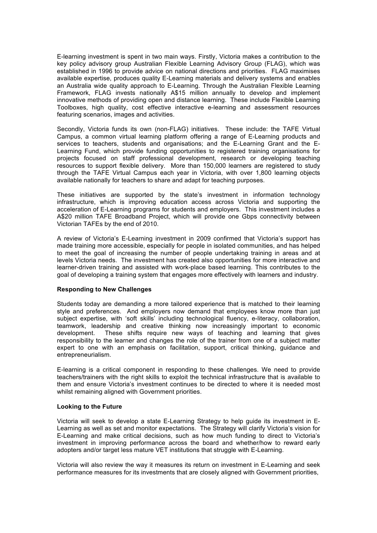E-learning investment is spent in two main ways. Firstly, Victoria makes a contribution to the key policy advisory group Australian Flexible Learning Advisory Group (FLAG), which was established in 1996 to provide advice on national directions and priorities. FLAG maximises available expertise, produces quality E-Learning materials and delivery systems and enables an Australia wide quality approach to E-Learning. Through the Australian Flexible Learning Framework, FLAG invests nationally A\$15 million annually to develop and implement innovative methods of providing open and distance learning. These include Flexible Learning Toolboxes, high quality, cost effective interactive e-learning and assessment resources featuring scenarios, images and activities.

Secondly, Victoria funds its own (non-FLAG) initiatives. These include: the TAFE Virtual Campus, a common virtual learning platform offering a range of E-Learning products and services to teachers, students and organisations; and the E-Learning Grant and the E-Learning Fund, which provide funding opportunities to registered training organisations for projects focused on staff professional development, research or developing teaching resources to support flexible delivery. More than 150,000 learners are registered to study through the TAFE Virtual Campus each year in Victoria, with over 1,800 learning objects available nationally for teachers to share and adapt for teaching purposes.

These initiatives are supported by the state's investment in information technology infrastructure, which is improving education access across Victoria and supporting the acceleration of E-Learning programs for students and employers. This investment includes a A\$20 million TAFE Broadband Project, which will provide one Gbps connectivity between Victorian TAFEs by the end of 2010.

A review of Victoria's E-Learning investment in 2009 confirmed that Victoria's support has made training more accessible, especially for people in isolated communities, and has helped to meet the goal of increasing the number of people undertaking training in areas and at levels Victoria needs. The investment has created also opportunities for more interactive and learner-driven training and assisted with work-place based learning. This contributes to the goal of developing a training system that engages more effectively with learners and industry.

## **Responding to New Challenges**

Students today are demanding a more tailored experience that is matched to their learning style and preferences. And employers now demand that employees know more than just subject expertise, with 'soft skills' including technological fluency, e-literacy, collaboration, teamwork, leadership and creative thinking now increasingly important to economic development. These shifts require new ways of teaching and learning that gives responsibility to the learner and changes the role of the trainer from one of a subject matter expert to one with an emphasis on facilitation, support, critical thinking, guidance and entrepreneurialism.

E-learning is a critical component in responding to these challenges. We need to provide teachers/trainers with the right skills to exploit the technical infrastructure that is available to them and ensure Victoria's investment continues to be directed to where it is needed most whilst remaining aligned with Government priorities.

## **Looking to the Future**

Victoria will seek to develop a state E-Learning Strategy to help guide its investment in E-Learning as well as set and monitor expectations. The Strategy will clarify Victoria's vision for E-Learning and make critical decisions, such as how much funding to direct to Victoria's investment in improving performance across the board and whether/how to reward early adopters and/or target less mature VET institutions that struggle with E-Learning.

Victoria will also review the way it measures its return on investment in E-Learning and seek performance measures for its investments that are closely aligned with Government priorities,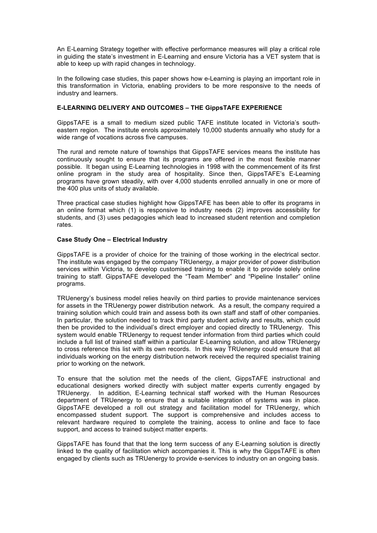An E-Learning Strategy together with effective performance measures will play a critical role in guiding the state's investment in E-Learning and ensure Victoria has a VET system that is able to keep up with rapid changes in technology.

In the following case studies, this paper shows how e-Learning is playing an important role in this transformation in Victoria, enabling providers to be more responsive to the needs of industry and learners.

## **E-LEARNING DELIVERY AND OUTCOMES – THE GippsTAFE EXPERIENCE**

GippsTAFE is a small to medium sized public TAFE institute located in Victoria's southeastern region. The institute enrols approximately 10,000 students annually who study for a wide range of vocations across five campuses.

The rural and remote nature of townships that GippsTAFE services means the institute has continuously sought to ensure that its programs are offered in the most flexible manner possible. It began using E-Learning technologies in 1998 with the commencement of its first online program in the study area of hospitality. Since then, GippsTAFE's E-Learning programs have grown steadily, with over 4,000 students enrolled annually in one or more of the 400 plus units of study available.

Three practical case studies highlight how GippsTAFE has been able to offer its programs in an online format which (1) is responsive to industry needs (2) improves accessibility for students, and (3) uses pedagogies which lead to increased student retention and completion rates.

## **Case Study One – Electrical Industry**

GippsTAFE is a provider of choice for the training of those working in the electrical sector. The institute was engaged by the company TRUenergy, a major provider of power distribution services within Victoria, to develop customised training to enable it to provide solely online training to staff. GippsTAFE developed the "Team Member" and "Pipeline Installer" online programs.

TRUenergy's business model relies heavily on third parties to provide maintenance services for assets in the TRUenergy power distribution network. As a result, the company required a training solution which could train and assess both its own staff and staff of other companies. In particular, the solution needed to track third party student activity and results, which could then be provided to the individual's direct employer and copied directly to TRUenergy. This system would enable TRUenergy to request tender information from third parties which could include a full list of trained staff within a particular E-Learning solution, and allow TRUenergy to cross reference this list with its own records. In this way TRUenergy could ensure that all individuals working on the energy distribution network received the required specialist training prior to working on the network.

To ensure that the solution met the needs of the client, GippsTAFE instructional and educational designers worked directly with subject matter experts currently engaged by TRUenergy. In addition, E-Learning technical staff worked with the Human Resources department of TRUenergy to ensure that a suitable integration of systems was in place. GippsTAFE developed a roll out strategy and facilitation model for TRUenergy, which encompassed student support. The support is comprehensive and includes access to relevant hardware required to complete the training, access to online and face to face support, and access to trained subject matter experts.

GippsTAFE has found that that the long term success of any E-Learning solution is directly linked to the quality of facilitation which accompanies it. This is why the GippsTAFE is often engaged by clients such as TRUenergy to provide e-services to industry on an ongoing basis.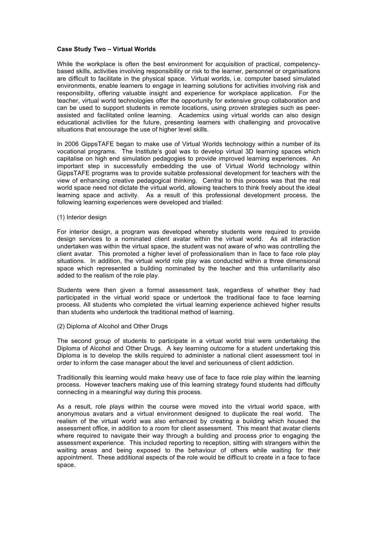## **Case Study Two – Virtual Worlds**

While the workplace is often the best environment for acquisition of practical, competencybased skills, activities involving responsibility or risk to the learner, personnel or organisations are difficult to facilitate in the physical space. Virtual worlds, i.e. computer based simulated environments, enable learners to engage in learning solutions for activities involving risk and responsibility, offering valuable insight and experience for workplace application. For the teacher, virtual world technologies offer the opportunity for extensive group collaboration and can be used to support students in remote locations, using proven strategies such as peerassisted and facilitated online learning. Academics using virtual worlds can also design educational activities for the future, presenting learners with challenging and provocative situations that encourage the use of higher level skills.

In 2006 GippsTAFE began to make use of Virtual Worlds technology within a number of its vocational programs. The Institute's goal was to develop virtual 3D learning spaces which capitalise on high end simulation pedagogies to provide improved learning experiences. An important step in successfully embedding the use of Virtual World technology within GippsTAFE programs was to provide suitable professional development for teachers with the view of enhancing creative pedagogical thinking. Central to this process was that the real world space need not dictate the virtual world, allowing teachers to think freely about the ideal learning space and activity. As a result of this professional development process, the following learning experiences were developed and trialled:

(1) Interior design

For interior design, a program was developed whereby students were required to provide design services to a nominated client avatar within the virtual world. As all interaction undertaken was within the virtual space, the student was not aware of who was controlling the client avatar. This promoted a higher level of professionalism than in face to face role play situations. In addition, the virtual world role play was conducted within a three dimensional space which represented a building nominated by the teacher and this unfamiliarity also added to the realism of the role play.

Students were then given a formal assessment task, regardless of whether they had participated in the virtual world space or undertook the traditional face to face learning process. All students who completed the virtual learning experience achieved higher results than students who undertook the traditional method of learning.

(2) Diploma of Alcohol and Other Drugs

The second group of students to participate in a virtual world trial were undertaking the Diploma of Alcohol and Other Drugs. A key learning outcome for a student undertaking this Diploma is to develop the skills required to administer a national client assessment tool in order to inform the case manager about the level and seriousness of client addiction.

Traditionally this learning would make heavy use of face to face role play within the learning process. However teachers making use of this learning strategy found students had difficulty connecting in a meaningful way during this process.

As a result, role plays within the course were moved into the virtual world space, with anonymous avatars and a virtual environment designed to duplicate the real world. The realism of the virtual world was also enhanced by creating a building which housed the assessment office, in addition to a room for client assessment. This meant that avatar clients where required to navigate their way through a building and process prior to engaging the assessment experience. This included reporting to reception, sitting with strangers within the waiting areas and being exposed to the behaviour of others while waiting for their appointment. These additional aspects of the role would be difficult to create in a face to face space.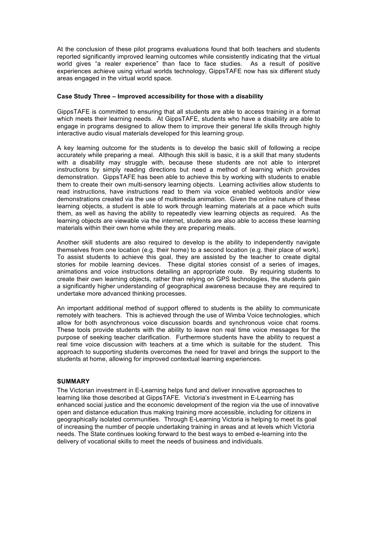At the conclusion of these pilot programs evaluations found that both teachers and students reported significantly improved learning outcomes while consistently indicating that the virtual world gives "a realer experience" than face to face studies. As a result of positive experiences achieve using virtual worlds technology, GippsTAFE now has six different study areas engaged in the virtual world space.

#### **Case Study Three – Improved accessibility for those with a disability**

GippsTAFE is committed to ensuring that all students are able to access training in a format which meets their learning needs. At GippsTAFE, students who have a disability are able to engage in programs designed to allow them to improve their general life skills through highly interactive audio visual materials developed for this learning group.

A key learning outcome for the students is to develop the basic skill of following a recipe accurately while preparing a meal. Although this skill is basic, it is a skill that many students with a disability may struggle with, because these students are not able to interpret instructions by simply reading directions but need a method of learning which provides demonstration. GippsTAFE has been able to achieve this by working with students to enable them to create their own multi-sensory learning objects. Learning activities allow students to read instructions, have instructions read to them via voice enabled webtools and/or view demonstrations created via the use of multimedia animation. Given the online nature of these learning objects, a student is able to work through learning materials at a pace which suits them, as well as having the ability to repeatedly view learning objects as required. As the learning objects are viewable via the internet, students are also able to access these learning materials within their own home while they are preparing meals.

Another skill students are also required to develop is the ability to independently navigate themselves from one location (e.g. their home) to a second location (e.g. their place of work). To assist students to achieve this goal, they are assisted by the teacher to create digital stories for mobile learning devices. These digital stories consist of a series of images, animations and voice instructions detailing an appropriate route. By requiring students to create their own learning objects, rather than relying on GPS technologies, the students gain a significantly higher understanding of geographical awareness because they are required to undertake more advanced thinking processes.

An important additional method of support offered to students is the ability to communicate remotely with teachers. This is achieved through the use of Wimba Voice technologies, which allow for both asynchronous voice discussion boards and synchronous voice chat rooms. These tools provide students with the ability to leave non real time voice messages for the purpose of seeking teacher clarification. Furthermore students have the ability to request a real time voice discussion with teachers at a time which is suitable for the student. This approach to supporting students overcomes the need for travel and brings the support to the students at home, allowing for improved contextual learning experiences.

## **SUMMARY**

The Victorian investment in E-Learning helps fund and deliver innovative approaches to learning like those described at GippsTAFE. Victoria's investment in E-Learning has enhanced social justice and the economic development of the region via the use of innovative open and distance education thus making training more accessible, including for citizens in geographically isolated communities. Through E-Learning Victoria is helping to meet its goal of increasing the number of people undertaking training in areas and at levels which Victoria needs. The State continues looking forward to the best ways to embed e-learning into the delivery of vocational skills to meet the needs of business and individuals.